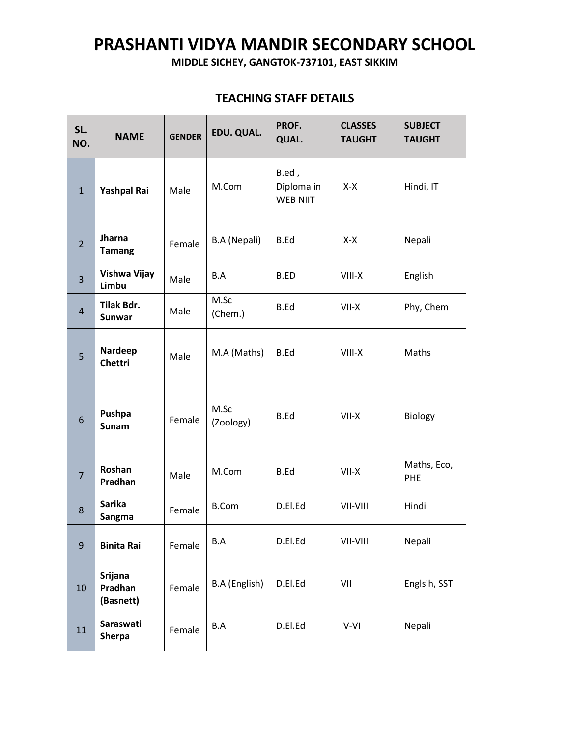## **PRASHANTI VIDYA MANDIR SECONDARY SCHOOL**

**MIDDLE SICHEY, GANGTOK-737101, EAST SIKKIM**

| SL.<br>NO.     | <b>NAME</b>                            | <b>GENDER</b> | EDU. QUAL.        | PROF.<br><b>QUAL.</b>                  | <b>CLASSES</b><br><b>TAUGHT</b> | <b>SUBJECT</b><br><b>TAUGHT</b> |
|----------------|----------------------------------------|---------------|-------------------|----------------------------------------|---------------------------------|---------------------------------|
| $\mathbf{1}$   | Yashpal Rai                            | Male          | M.Com             | B.ed,<br>Diploma in<br><b>WEB NIIT</b> | $IX-X$                          | Hindi, IT                       |
| $\overline{2}$ | Jharna<br><b>Tamang</b>                | Female        | B.A (Nepali)      | B.Ed                                   | IX-X                            | Nepali                          |
| 3              | Vishwa Vijay<br>Limbu                  | Male          | B.A               | B.ED                                   | VIII-X                          | English                         |
| $\overline{4}$ | Tilak Bdr.<br><b>Sunwar</b>            | Male          | M.Sc<br>(Chem.)   | <b>B.Ed</b>                            | VII-X                           | Phy, Chem                       |
| 5              | Nardeep<br><b>Chettri</b>              | Male          | M.A (Maths)       | B.Ed                                   | VIII-X                          | Maths                           |
| 6              | Pushpa<br>Sunam                        | Female        | M.Sc<br>(Zoology) | B.Ed                                   | $VII-X$                         | Biology                         |
| $\overline{7}$ | Roshan<br>Pradhan                      | Male          | M.Com             | B.Ed                                   | VII-X                           | Maths, Eco,<br>PHE              |
| 8              | <b>Sarika</b><br>Sangma                | Female        | <b>B.Com</b>      | D.El.Ed                                | VII-VIII                        | Hindi                           |
| 9              | <b>Binita Rai</b>                      | Female        | B.A               | D.El.Ed                                | VII-VIII                        | Nepali                          |
| 10             | <b>Srijana</b><br>Pradhan<br>(Basnett) | Female        | B.A (English)     | D.El.Ed                                | VII                             | Englsih, SST                    |
| 11             | Saraswati<br><b>Sherpa</b>             | Female        | B.A               | D.El.Ed                                | $IV-VI$                         | Nepali                          |

## **TEACHING STAFF DETAILS**